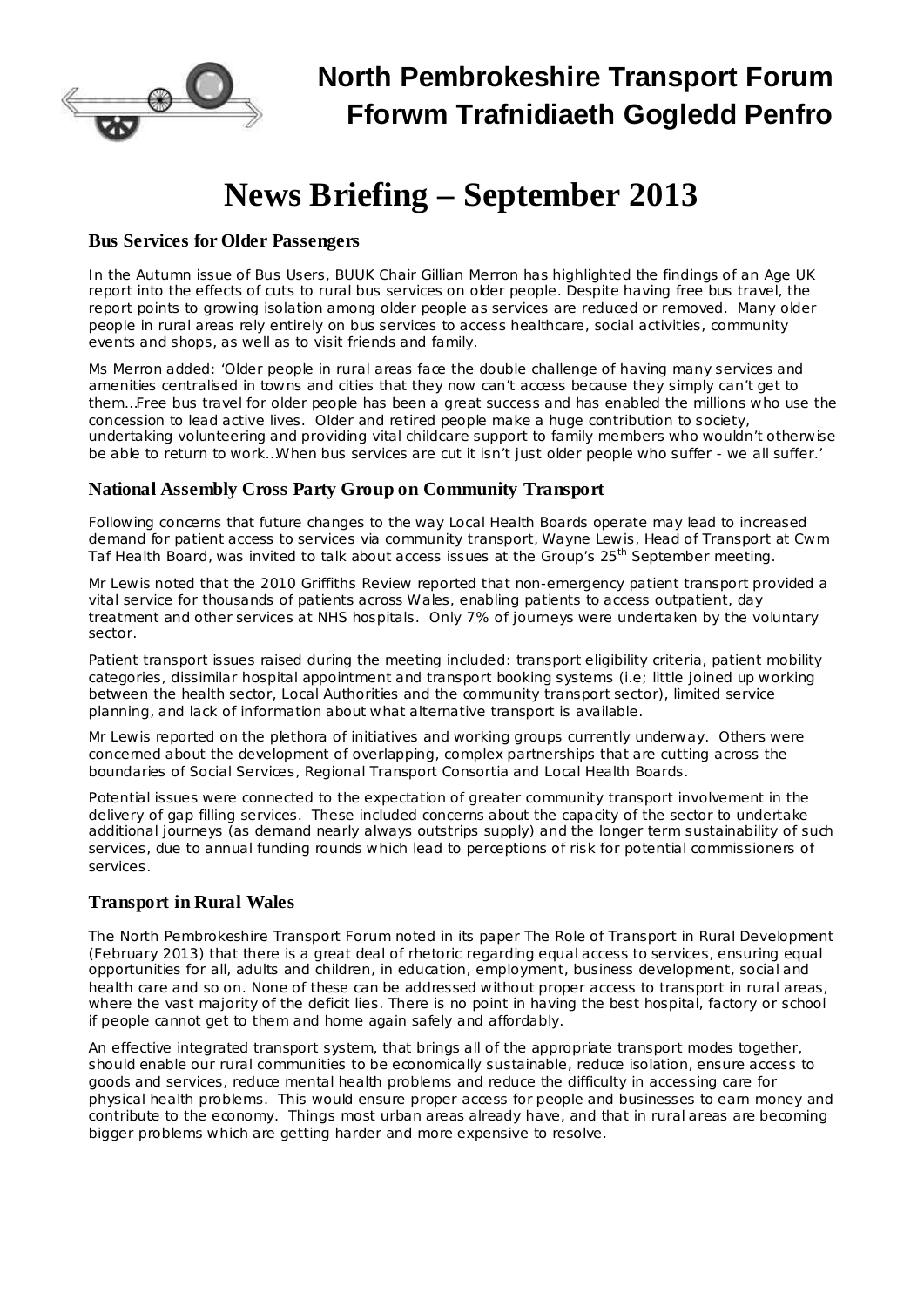

# **News Briefing – September 2013**

#### **Bus Services for Older Passengers**

In the Autumn issue of *Bus Users*, BUUK Chair Gillian Merron has highlighted the findings of an Age UK report into the effects of cuts to rural bus services on older people. Despite having free bus travel, the report points to growing isolation among older people as services are reduced or removed. Many older people in rural areas rely entirely on bus services to access healthcare, social activities, community events and shops, as well as to visit friends and family.

Ms Merron added: 'Older people in rural areas face the double challenge of having many services and amenities centralised in towns and cities that they now can't access because they simply can't get to them…Free bus travel for older people has been a great success and has enabled the millions who use the concession to lead active lives. Older and retired people make a huge contribution to society, undertaking volunteering and providing vital childcare support to family members who wouldn't otherwise be able to return to work…When bus services are cut it isn't just older people who suffer - we all suffer.'

## **National Assembly Cross Party Group on Community Transport**

Following concerns that future changes to the way Local Health Boards operate may lead to increased demand for patient access to services via community transport, Wayne Lewis, Head of Transport at Cwm Taf Health Board, was invited to talk about access issues at the Group's 25<sup>th</sup> September meeting.

Mr Lewis noted that the 2010 Griffiths Review reported that non-emergency patient transport provided a vital service for thousands of patients across Wales, enabling patients to access outpatient, day treatment and other services at NHS hospitals. Only 7% of journeys were undertaken by the voluntary sector.

Patient transport issues raised during the meeting included: transport eligibility criteria, patient mobility categories, dissimilar hospital appointment and transport booking systems (i.e; little joined up working between the health sector, Local Authorities and the community transport sector), limited service planning, and lack of information about what alternative transport is available.

Mr Lewis reported on the plethora of initiatives and working groups currently underway. Others were concerned about the development of overlapping, complex partnerships that are cutting across the boundaries of Social Services, Regional Transport Consortia and Local Health Boards.

Potential issues were connected to the expectation of greater community transport involvement in the delivery of gap filling services. These included concerns about the capacity of the sector to undertake additional journeys (as demand nearly always outstrips supply) and the longer term sustainability of such services, due to annual funding rounds which lead to perceptions of risk for potential commissioners of services.

## **Transport in Rural Wales**

The North Pembrokeshire Transport Forum noted in its paper The Role of Transport in Rural Development (February 2013) that there is a great deal of rhetoric regarding equal access to services, ensuring equal opportunities for all, adults and children, in education, employment, business development, social and health care and so on. None of these can be addressed without proper access to transport in rural areas, where the vast majority of the deficit lies. There is no point in having the best hospital, factory or school if people cannot get to them and home again safely and affordably.

An effective integrated transport system, that brings all of the appropriate transport modes together, should enable our rural communities to be economically sustainable, reduce isolation, ensure access to goods and services, reduce mental health problems and reduce the difficulty in accessing care for physical health problems. This would ensure proper access for people and businesses to earn money and contribute to the economy. Things most urban areas already have, and that in rural areas are becoming bigger problems which are getting harder and more expensive to resolve.